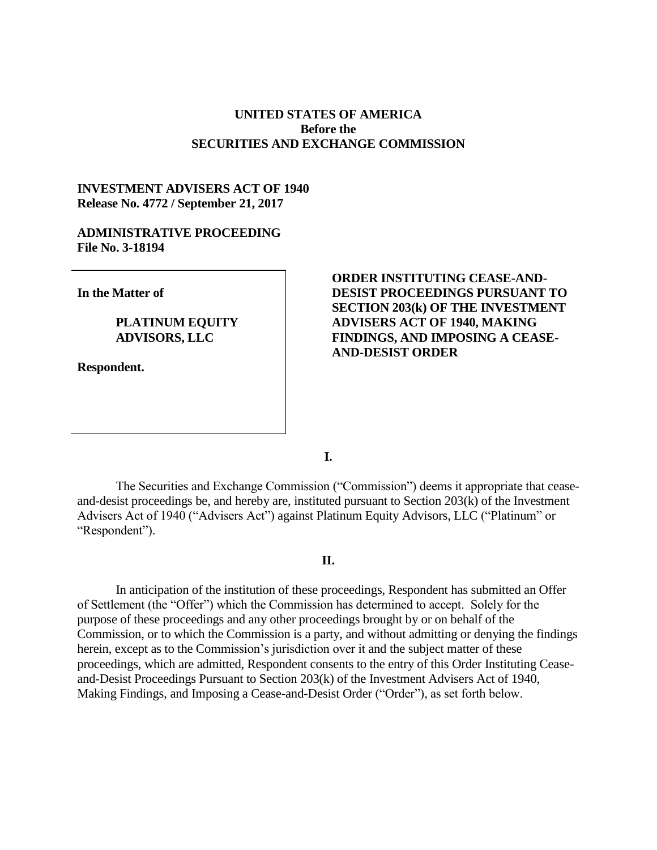## **UNITED STATES OF AMERICA Before the SECURITIES AND EXCHANGE COMMISSION**

# **INVESTMENT ADVISERS ACT OF 1940 Release No. 4772 / September 21, 2017**

### **ADMINISTRATIVE PROCEEDING File No. 3-18194**

**In the Matter of**

# **PLATINUM EQUITY ADVISORS, LLC**

**Respondent.**

# **ORDER INSTITUTING CEASE-AND-DESIST PROCEEDINGS PURSUANT TO SECTION 203(k) OF THE INVESTMENT ADVISERS ACT OF 1940, MAKING FINDINGS, AND IMPOSING A CEASE-AND-DESIST ORDER**

**I.**

The Securities and Exchange Commission ("Commission") deems it appropriate that ceaseand-desist proceedings be, and hereby are, instituted pursuant to Section 203(k) of the Investment Advisers Act of 1940 ("Advisers Act") against Platinum Equity Advisors, LLC ("Platinum" or "Respondent").

### **II.**

In anticipation of the institution of these proceedings, Respondent has submitted an Offer of Settlement (the "Offer") which the Commission has determined to accept. Solely for the purpose of these proceedings and any other proceedings brought by or on behalf of the Commission, or to which the Commission is a party, and without admitting or denying the findings herein, except as to the Commission's jurisdiction over it and the subject matter of these proceedings, which are admitted, Respondent consents to the entry of this Order Instituting Ceaseand-Desist Proceedings Pursuant to Section 203(k) of the Investment Advisers Act of 1940, Making Findings, and Imposing a Cease-and-Desist Order ("Order"), as set forth below.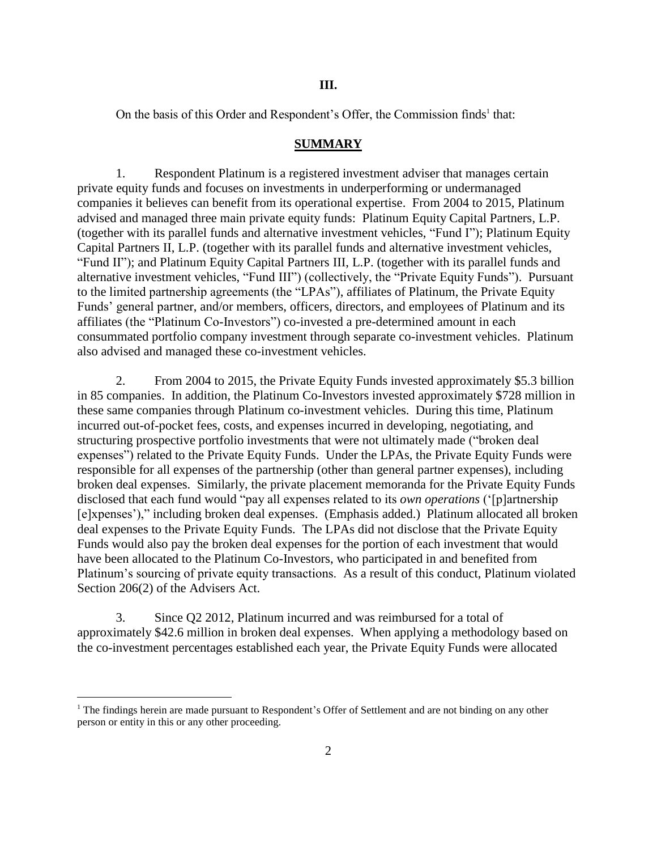On the basis of this Order and Respondent's Offer, the Commission finds<sup>1</sup> that:

### **SUMMARY**

1. Respondent Platinum is a registered investment adviser that manages certain private equity funds and focuses on investments in underperforming or undermanaged companies it believes can benefit from its operational expertise. From 2004 to 2015, Platinum advised and managed three main private equity funds: Platinum Equity Capital Partners, L.P. (together with its parallel funds and alternative investment vehicles, "Fund I"); Platinum Equity Capital Partners II, L.P. (together with its parallel funds and alternative investment vehicles, "Fund II"); and Platinum Equity Capital Partners III, L.P. (together with its parallel funds and alternative investment vehicles, "Fund III") (collectively, the "Private Equity Funds"). Pursuant to the limited partnership agreements (the "LPAs"), affiliates of Platinum, the Private Equity Funds' general partner, and/or members, officers, directors, and employees of Platinum and its affiliates (the "Platinum Co-Investors") co-invested a pre-determined amount in each consummated portfolio company investment through separate co-investment vehicles. Platinum also advised and managed these co-investment vehicles.

2. From 2004 to 2015, the Private Equity Funds invested approximately \$5.3 billion in 85 companies. In addition, the Platinum Co-Investors invested approximately \$728 million in these same companies through Platinum co-investment vehicles. During this time, Platinum incurred out-of-pocket fees, costs, and expenses incurred in developing, negotiating, and structuring prospective portfolio investments that were not ultimately made ("broken deal expenses") related to the Private Equity Funds. Under the LPAs, the Private Equity Funds were responsible for all expenses of the partnership (other than general partner expenses), including broken deal expenses. Similarly, the private placement memoranda for the Private Equity Funds disclosed that each fund would "pay all expenses related to its *own operations* ('[p]artnership [e]xpenses')," including broken deal expenses. (Emphasis added.) Platinum allocated all broken deal expenses to the Private Equity Funds. The LPAs did not disclose that the Private Equity Funds would also pay the broken deal expenses for the portion of each investment that would have been allocated to the Platinum Co-Investors, who participated in and benefited from Platinum's sourcing of private equity transactions. As a result of this conduct, Platinum violated Section 206(2) of the Advisers Act.

3. Since Q2 2012, Platinum incurred and was reimbursed for a total of approximately \$42.6 million in broken deal expenses. When applying a methodology based on the co-investment percentages established each year, the Private Equity Funds were allocated

 $\overline{a}$ 

 $1$  The findings herein are made pursuant to Respondent's Offer of Settlement and are not binding on any other person or entity in this or any other proceeding.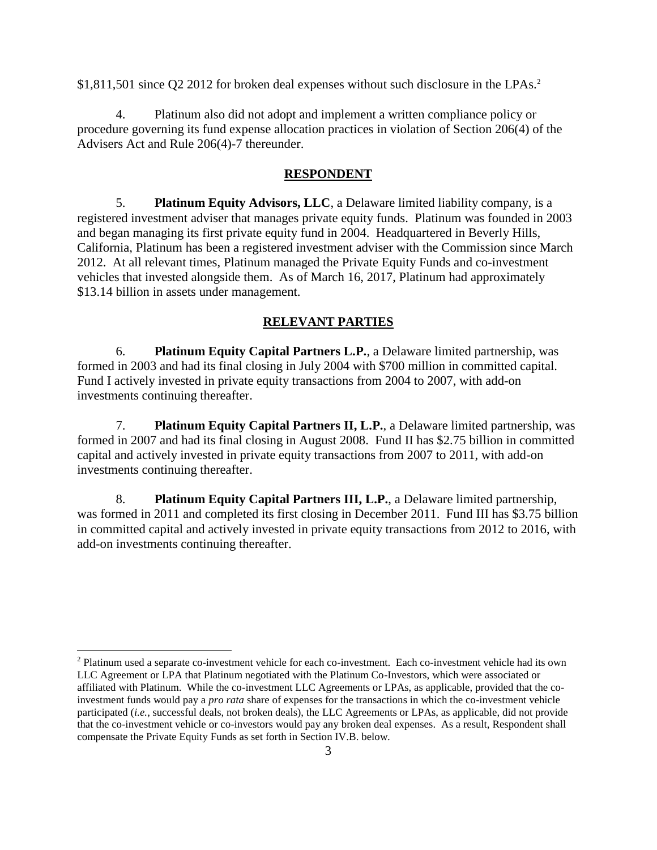\$1,811,501 since O2 2012 for broken deal expenses without such disclosure in the LPAs.<sup>2</sup>

4. Platinum also did not adopt and implement a written compliance policy or procedure governing its fund expense allocation practices in violation of Section 206(4) of the Advisers Act and Rule 206(4)-7 thereunder.

### **RESPONDENT**

5. **Platinum Equity Advisors, LLC**, a Delaware limited liability company, is a registered investment adviser that manages private equity funds. Platinum was founded in 2003 and began managing its first private equity fund in 2004. Headquartered in Beverly Hills, California, Platinum has been a registered investment adviser with the Commission since March 2012. At all relevant times, Platinum managed the Private Equity Funds and co-investment vehicles that invested alongside them. As of March 16, 2017, Platinum had approximately \$13.14 billion in assets under management.

## **RELEVANT PARTIES**

6. **Platinum Equity Capital Partners L.P.**, a Delaware limited partnership, was formed in 2003 and had its final closing in July 2004 with \$700 million in committed capital. Fund I actively invested in private equity transactions from 2004 to 2007, with add-on investments continuing thereafter.

7. **Platinum Equity Capital Partners II, L.P.**, a Delaware limited partnership, was formed in 2007 and had its final closing in August 2008. Fund II has \$2.75 billion in committed capital and actively invested in private equity transactions from 2007 to 2011, with add-on investments continuing thereafter.

8. **Platinum Equity Capital Partners III, L.P.**, a Delaware limited partnership, was formed in 2011 and completed its first closing in December 2011. Fund III has \$3.75 billion in committed capital and actively invested in private equity transactions from 2012 to 2016, with add-on investments continuing thereafter.

 $\overline{a}$ 

 $2$  Platinum used a separate co-investment vehicle for each co-investment. Each co-investment vehicle had its own LLC Agreement or LPA that Platinum negotiated with the Platinum Co-Investors, which were associated or affiliated with Platinum. While the co-investment LLC Agreements or LPAs, as applicable, provided that the coinvestment funds would pay a *pro rata* share of expenses for the transactions in which the co-investment vehicle participated (*i.e.*, successful deals, not broken deals), the LLC Agreements or LPAs, as applicable, did not provide that the co-investment vehicle or co-investors would pay any broken deal expenses. As a result, Respondent shall compensate the Private Equity Funds as set forth in Section IV.B. below.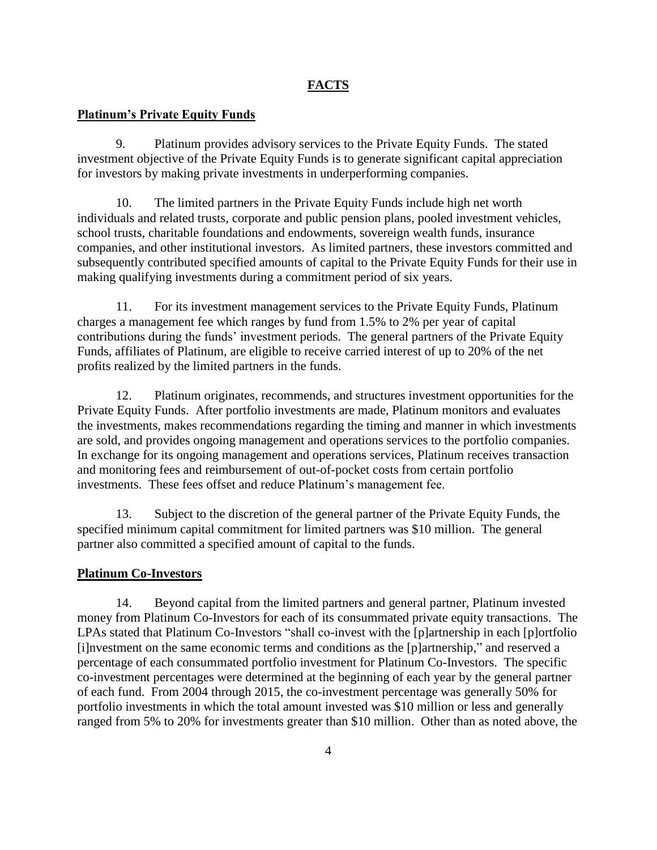# **FACTS**

# **Platinum's Private Equity Funds**

9. Platinum provides advisory services to the Private Equity Funds. The stated investment objective of the Private Equity Funds is to generate significant capital appreciation for investors by making private investments in underperforming companies.

10. The limited partners in the Private Equity Funds include high net worth individuals and related trusts, corporate and public pension plans, pooled investment vehicles, school trusts, charitable foundations and endowments, sovereign wealth funds, insurance companies, and other institutional investors. As limited partners, these investors committed and subsequently contributed specified amounts of capital to the Private Equity Funds for their use in making qualifying investments during a commitment period of six years.

11. For its investment management services to the Private Equity Funds, Platinum charges a management fee which ranges by fund from 1.5% to 2% per year of capital contributions during the funds' investment periods. The general partners of the Private Equity Funds, affiliates of Platinum, are eligible to receive carried interest of up to 20% of the net profits realized by the limited partners in the funds.

12. Platinum originates, recommends, and structures investment opportunities for the Private Equity Funds. After portfolio investments are made, Platinum monitors and evaluates the investments, makes recommendations regarding the timing and manner in which investments are sold, and provides ongoing management and operations services to the portfolio companies. In exchange for its ongoing management and operations services, Platinum receives transaction and monitoring fees and reimbursement of out-of-pocket costs from certain portfolio investments. These fees offset and reduce Platinum's management fee.

13. Subject to the discretion of the general partner of the Private Equity Funds, the specified minimum capital commitment for limited partners was \$10 million. The general partner also committed a specified amount of capital to the funds.

### **Platinum Co-Investors**

14. Beyond capital from the limited partners and general partner, Platinum invested money from Platinum Co-Investors for each of its consummated private equity transactions. The LPAs stated that Platinum Co-Investors "shall co-invest with the [p]artnership in each [p]ortfolio [i]nvestment on the same economic terms and conditions as the [p]artnership," and reserved a percentage of each consummated portfolio investment for Platinum Co-Investors. The specific co-investment percentages were determined at the beginning of each year by the general partner of each fund. From 2004 through 2015, the co-investment percentage was generally 50% for portfolio investments in which the total amount invested was \$10 million or less and generally ranged from 5% to 20% for investments greater than \$10 million. Other than as noted above, the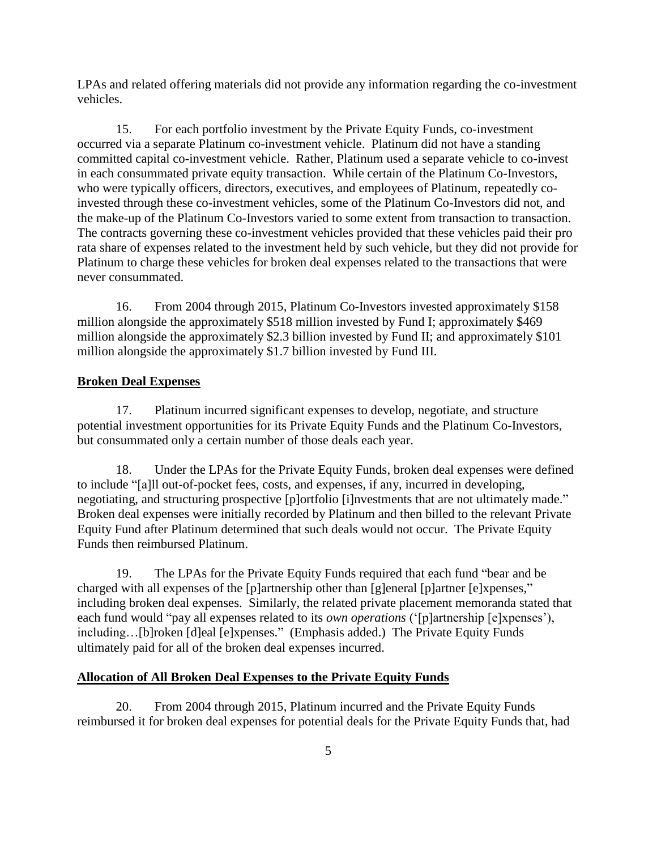LPAs and related offering materials did not provide any information regarding the co-investment vehicles.

15. For each portfolio investment by the Private Equity Funds, co-investment occurred via a separate Platinum co-investment vehicle. Platinum did not have a standing committed capital co-investment vehicle. Rather, Platinum used a separate vehicle to co-invest in each consummated private equity transaction. While certain of the Platinum Co-Investors, who were typically officers, directors, executives, and employees of Platinum, repeatedly coinvested through these co-investment vehicles, some of the Platinum Co-Investors did not, and the make-up of the Platinum Co-Investors varied to some extent from transaction to transaction. The contracts governing these co-investment vehicles provided that these vehicles paid their pro rata share of expenses related to the investment held by such vehicle, but they did not provide for Platinum to charge these vehicles for broken deal expenses related to the transactions that were never consummated.

16. From 2004 through 2015, Platinum Co-Investors invested approximately \$158 million alongside the approximately \$518 million invested by Fund I; approximately \$469 million alongside the approximately \$2.3 billion invested by Fund II; and approximately \$101 million alongside the approximately \$1.7 billion invested by Fund III.

# **Broken Deal Expenses**

17. Platinum incurred significant expenses to develop, negotiate, and structure potential investment opportunities for its Private Equity Funds and the Platinum Co-Investors, but consummated only a certain number of those deals each year.

18. Under the LPAs for the Private Equity Funds, broken deal expenses were defined to include "[a]ll out-of-pocket fees, costs, and expenses, if any, incurred in developing, negotiating, and structuring prospective [p]ortfolio [i]nvestments that are not ultimately made." Broken deal expenses were initially recorded by Platinum and then billed to the relevant Private Equity Fund after Platinum determined that such deals would not occur. The Private Equity Funds then reimbursed Platinum.

19. The LPAs for the Private Equity Funds required that each fund "bear and be charged with all expenses of the [p]artnership other than [g]eneral [p]artner [e]xpenses," including broken deal expenses. Similarly, the related private placement memoranda stated that each fund would "pay all expenses related to its *own operations* ('[p]artnership [e]xpenses'), including…[b]roken [d]eal [e]xpenses." (Emphasis added.) The Private Equity Funds ultimately paid for all of the broken deal expenses incurred.

# **Allocation of All Broken Deal Expenses to the Private Equity Funds**

20. From 2004 through 2015, Platinum incurred and the Private Equity Funds reimbursed it for broken deal expenses for potential deals for the Private Equity Funds that, had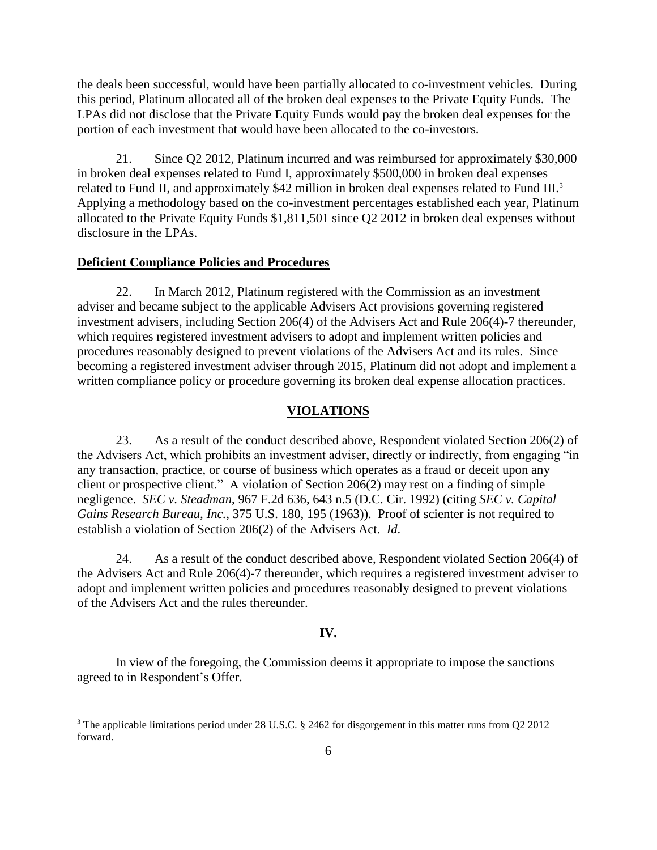the deals been successful, would have been partially allocated to co-investment vehicles. During this period, Platinum allocated all of the broken deal expenses to the Private Equity Funds. The LPAs did not disclose that the Private Equity Funds would pay the broken deal expenses for the portion of each investment that would have been allocated to the co-investors.

21. Since Q2 2012, Platinum incurred and was reimbursed for approximately \$30,000 in broken deal expenses related to Fund I, approximately \$500,000 in broken deal expenses related to Fund II, and approximately \$42 million in broken deal expenses related to Fund III.<sup>3</sup> Applying a methodology based on the co-investment percentages established each year, Platinum allocated to the Private Equity Funds \$1,811,501 since Q2 2012 in broken deal expenses without disclosure in the LPAs.

### **Deficient Compliance Policies and Procedures**

 $\overline{a}$ 

22. In March 2012, Platinum registered with the Commission as an investment adviser and became subject to the applicable Advisers Act provisions governing registered investment advisers, including Section 206(4) of the Advisers Act and Rule 206(4)-7 thereunder, which requires registered investment advisers to adopt and implement written policies and procedures reasonably designed to prevent violations of the Advisers Act and its rules. Since becoming a registered investment adviser through 2015, Platinum did not adopt and implement a written compliance policy or procedure governing its broken deal expense allocation practices.

#### **VIOLATIONS**

23. As a result of the conduct described above, Respondent violated Section 206(2) of the Advisers Act, which prohibits an investment adviser, directly or indirectly, from engaging "in any transaction, practice, or course of business which operates as a fraud or deceit upon any client or prospective client." A violation of Section 206(2) may rest on a finding of simple negligence. *SEC v. Steadman*, 967 F.2d 636, 643 n.5 (D.C. Cir. 1992) (citing *SEC v. Capital Gains Research Bureau, Inc.*, 375 U.S. 180, 195 (1963)). Proof of scienter is not required to establish a violation of Section 206(2) of the Advisers Act. *Id*.

24. As a result of the conduct described above, Respondent violated Section 206(4) of the Advisers Act and Rule 206(4)-7 thereunder, which requires a registered investment adviser to adopt and implement written policies and procedures reasonably designed to prevent violations of the Advisers Act and the rules thereunder.

### **IV.**

In view of the foregoing, the Commission deems it appropriate to impose the sanctions agreed to in Respondent's Offer.

<sup>&</sup>lt;sup>3</sup> The applicable limitations period under 28 U.S.C. § 2462 for disgorgement in this matter runs from Q2 2012 forward.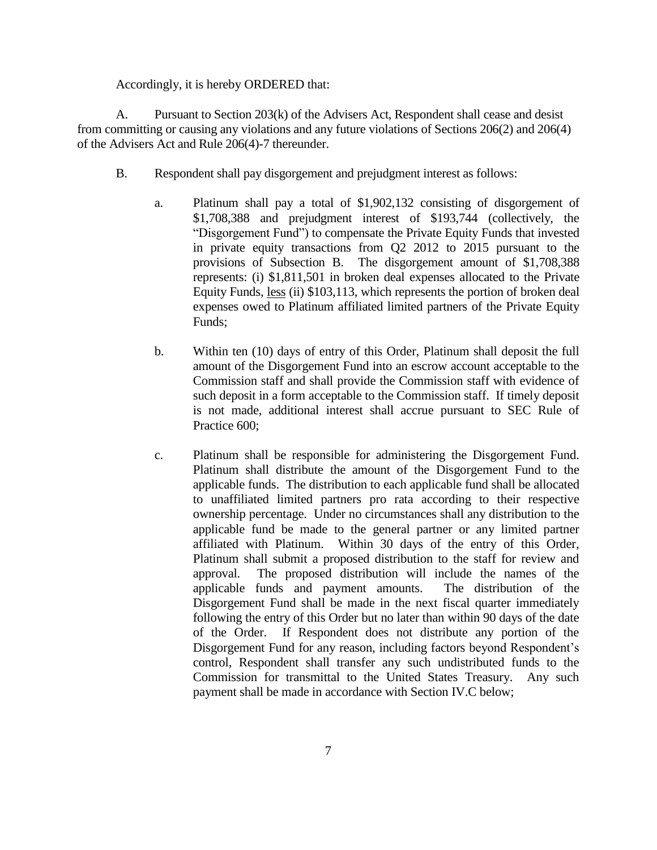Accordingly, it is hereby ORDERED that:

A. Pursuant to Section 203(k) of the Advisers Act, Respondent shall cease and desist from committing or causing any violations and any future violations of Sections 206(2) and 206(4) of the Advisers Act and Rule 206(4)-7 thereunder.

- B. Respondent shall pay disgorgement and prejudgment interest as follows:
	- a. Platinum shall pay a total of \$1,902,132 consisting of disgorgement of \$1,708,388 and prejudgment interest of \$193,744 (collectively, the "Disgorgement Fund") to compensate the Private Equity Funds that invested in private equity transactions from Q2 2012 to 2015 pursuant to the provisions of Subsection B. The disgorgement amount of \$1,708,388 represents: (i) \$1,811,501 in broken deal expenses allocated to the Private Equity Funds, less (ii) \$103,113, which represents the portion of broken deal expenses owed to Platinum affiliated limited partners of the Private Equity Funds;
	- b. Within ten (10) days of entry of this Order, Platinum shall deposit the full amount of the Disgorgement Fund into an escrow account acceptable to the Commission staff and shall provide the Commission staff with evidence of such deposit in a form acceptable to the Commission staff. If timely deposit is not made, additional interest shall accrue pursuant to SEC Rule of Practice 600;
	- c. Platinum shall be responsible for administering the Disgorgement Fund. Platinum shall distribute the amount of the Disgorgement Fund to the applicable funds. The distribution to each applicable fund shall be allocated to unaffiliated limited partners pro rata according to their respective ownership percentage. Under no circumstances shall any distribution to the applicable fund be made to the general partner or any limited partner affiliated with Platinum. Within 30 days of the entry of this Order, Platinum shall submit a proposed distribution to the staff for review and approval. The proposed distribution will include the names of the applicable funds and payment amounts. The distribution of the Disgorgement Fund shall be made in the next fiscal quarter immediately following the entry of this Order but no later than within 90 days of the date of the Order. If Respondent does not distribute any portion of the Disgorgement Fund for any reason, including factors beyond Respondent's control, Respondent shall transfer any such undistributed funds to the Commission for transmittal to the United States Treasury. Any such payment shall be made in accordance with Section IV.C below;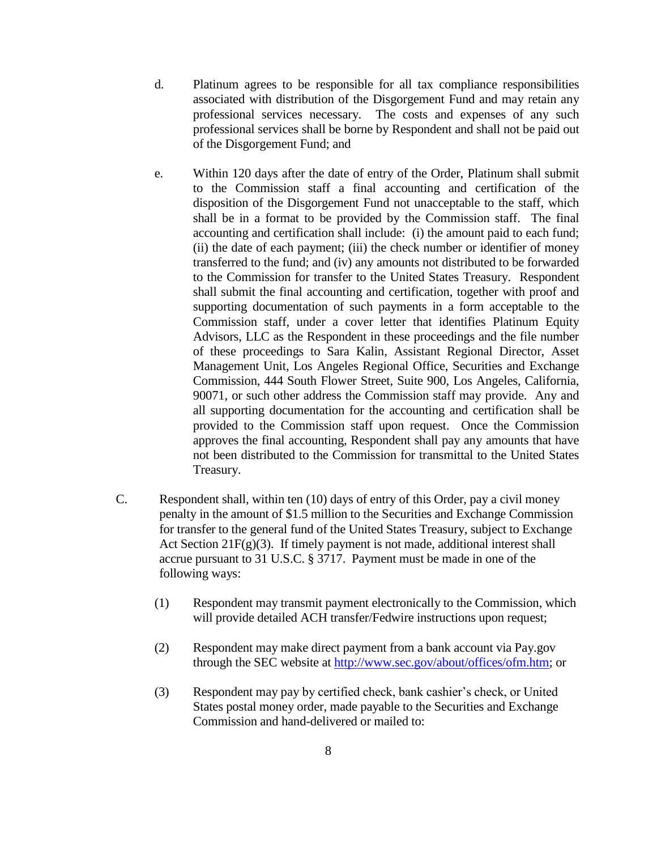- d. Platinum agrees to be responsible for all tax compliance responsibilities associated with distribution of the Disgorgement Fund and may retain any professional services necessary. The costs and expenses of any such professional services shall be borne by Respondent and shall not be paid out of the Disgorgement Fund; and
- e. Within 120 days after the date of entry of the Order, Platinum shall submit to the Commission staff a final accounting and certification of the disposition of the Disgorgement Fund not unacceptable to the staff, which shall be in a format to be provided by the Commission staff. The final accounting and certification shall include: (i) the amount paid to each fund; (ii) the date of each payment; (iii) the check number or identifier of money transferred to the fund; and (iv) any amounts not distributed to be forwarded to the Commission for transfer to the United States Treasury. Respondent shall submit the final accounting and certification, together with proof and supporting documentation of such payments in a form acceptable to the Commission staff, under a cover letter that identifies Platinum Equity Advisors, LLC as the Respondent in these proceedings and the file number of these proceedings to Sara Kalin, Assistant Regional Director, Asset Management Unit, Los Angeles Regional Office, Securities and Exchange Commission, 444 South Flower Street, Suite 900, Los Angeles, California, 90071, or such other address the Commission staff may provide. Any and all supporting documentation for the accounting and certification shall be provided to the Commission staff upon request. Once the Commission approves the final accounting, Respondent shall pay any amounts that have not been distributed to the Commission for transmittal to the United States Treasury.
- C. Respondent shall, within ten (10) days of entry of this Order, pay a civil money penalty in the amount of \$1.5 million to the Securities and Exchange Commission for transfer to the general fund of the United States Treasury, subject to Exchange Act Section 21 $F(g)(3)$ . If timely payment is not made, additional interest shall accrue pursuant to 31 U.S.C. § 3717. Payment must be made in one of the following ways:
	- (1) Respondent may transmit payment electronically to the Commission, which will provide detailed ACH transfer/Fedwire instructions upon request;
	- (2) Respondent may make direct payment from a bank account via Pay.gov through the SEC website at [http://www.sec.gov/about/offices/ofm.htm;](http://www.sec.gov/about/offices/ofm.htm) or
	- (3) Respondent may pay by certified check, bank cashier's check, or United States postal money order, made payable to the Securities and Exchange Commission and hand-delivered or mailed to: